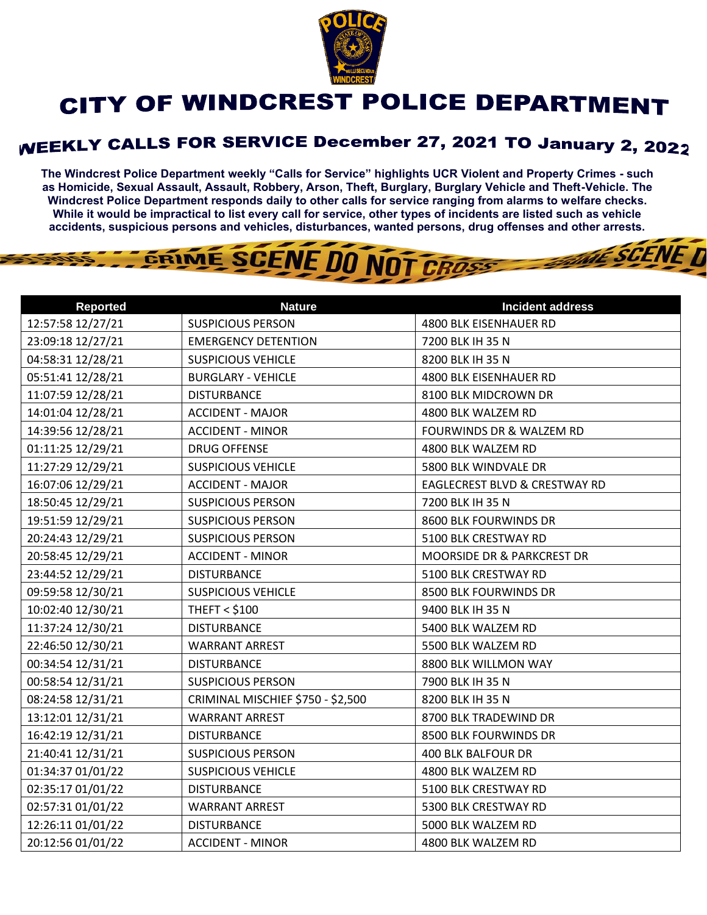

## CITY OF WINDCREST POLICE DEPARTMENT

## **WEEKLY CALLS FOR SERVICE December 27, 2021 TO January 2, 2022**

**The Windcrest Police Department weekly "Calls for Service" highlights UCR Violent and Property Crimes - such as Homicide, Sexual Assault, Assault, Robbery, Arson, Theft, Burglary, Burglary Vehicle and Theft-Vehicle. The Windcrest Police Department responds daily to other calls for service ranging from alarms to welfare checks. While it would be impractical to list every call for service, other types of incidents are listed such as vehicle accidents, suspicious persons and vehicles, disturbances, wanted persons, drug offenses and other arrests.** 

**THE SCENE TI** 



| <b>Reported</b>   | <b>Nature</b>                     | <b>Incident address</b>             |
|-------------------|-----------------------------------|-------------------------------------|
| 12:57:58 12/27/21 | <b>SUSPICIOUS PERSON</b>          | 4800 BLK EISENHAUER RD              |
| 23:09:18 12/27/21 | <b>EMERGENCY DETENTION</b>        | 7200 BLK IH 35 N                    |
| 04:58:31 12/28/21 | <b>SUSPICIOUS VEHICLE</b>         | 8200 BLK IH 35 N                    |
| 05:51:41 12/28/21 | <b>BURGLARY - VEHICLE</b>         | 4800 BLK EISENHAUER RD              |
| 11:07:59 12/28/21 | <b>DISTURBANCE</b>                | 8100 BLK MIDCROWN DR                |
| 14:01:04 12/28/21 | <b>ACCIDENT - MAJOR</b>           | 4800 BLK WALZEM RD                  |
| 14:39:56 12/28/21 | <b>ACCIDENT - MINOR</b>           | <b>FOURWINDS DR &amp; WALZEM RD</b> |
| 01:11:25 12/29/21 | <b>DRUG OFFENSE</b>               | 4800 BLK WALZEM RD                  |
| 11:27:29 12/29/21 | <b>SUSPICIOUS VEHICLE</b>         | 5800 BLK WINDVALE DR                |
| 16:07:06 12/29/21 | <b>ACCIDENT - MAJOR</b>           | EAGLECREST BLVD & CRESTWAY RD       |
| 18:50:45 12/29/21 | <b>SUSPICIOUS PERSON</b>          | 7200 BLK IH 35 N                    |
| 19:51:59 12/29/21 | <b>SUSPICIOUS PERSON</b>          | 8600 BLK FOURWINDS DR               |
| 20:24:43 12/29/21 | <b>SUSPICIOUS PERSON</b>          | 5100 BLK CRESTWAY RD                |
| 20:58:45 12/29/21 | <b>ACCIDENT - MINOR</b>           | MOORSIDE DR & PARKCREST DR          |
| 23:44:52 12/29/21 | <b>DISTURBANCE</b>                | 5100 BLK CRESTWAY RD                |
| 09:59:58 12/30/21 | <b>SUSPICIOUS VEHICLE</b>         | 8500 BLK FOURWINDS DR               |
| 10:02:40 12/30/21 | <b>THEFT &lt; \$100</b>           | 9400 BLK IH 35 N                    |
| 11:37:24 12/30/21 | <b>DISTURBANCE</b>                | 5400 BLK WALZEM RD                  |
| 22:46:50 12/30/21 | <b>WARRANT ARREST</b>             | 5500 BLK WALZEM RD                  |
| 00:34:54 12/31/21 | <b>DISTURBANCE</b>                | 8800 BLK WILLMON WAY                |
| 00:58:54 12/31/21 | <b>SUSPICIOUS PERSON</b>          | 7900 BLK IH 35 N                    |
| 08:24:58 12/31/21 | CRIMINAL MISCHIEF \$750 - \$2,500 | 8200 BLK IH 35 N                    |
| 13:12:01 12/31/21 | <b>WARRANT ARREST</b>             | 8700 BLK TRADEWIND DR               |
| 16:42:19 12/31/21 | <b>DISTURBANCE</b>                | 8500 BLK FOURWINDS DR               |
| 21:40:41 12/31/21 | <b>SUSPICIOUS PERSON</b>          | 400 BLK BALFOUR DR                  |
| 01:34:37 01/01/22 | <b>SUSPICIOUS VEHICLE</b>         | 4800 BLK WALZEM RD                  |
| 02:35:17 01/01/22 | <b>DISTURBANCE</b>                | 5100 BLK CRESTWAY RD                |
| 02:57:31 01/01/22 | <b>WARRANT ARREST</b>             | 5300 BLK CRESTWAY RD                |
| 12:26:11 01/01/22 | <b>DISTURBANCE</b>                | 5000 BLK WALZEM RD                  |
| 20:12:56 01/01/22 | <b>ACCIDENT - MINOR</b>           | 4800 BLK WALZEM RD                  |